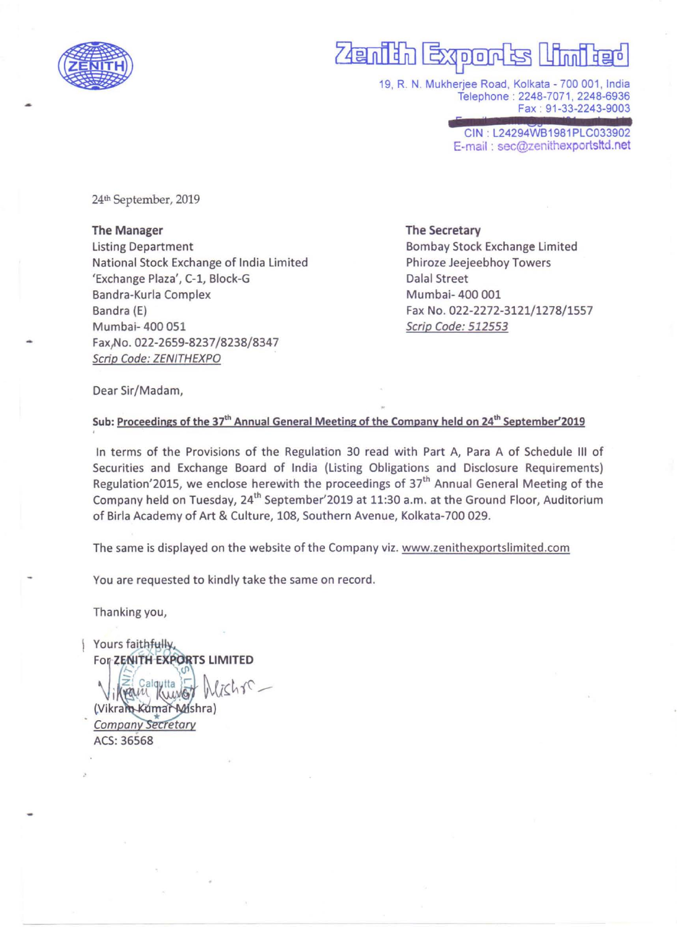

# 74anii 1 exoon

19, R. N. Mukherjee Road, Kolkata -700 001, India Telephone : 2248-7071 , 2248-6936 Fax : 91-33-2243-9003

> GIN : L24294WB1981PLG033902 E-mail : sec@zenithexportsltd.net

24th September, 2019

The Manager Listing Department National Stock Exchange of India Limited 'Exchange Plaza', C-1, Block-G Bandra-Kurla Complex Bandra (E) Mumbai- 400 051 Fax,No. 022-2659-8237/8238/8347 Scrip Code: ZENITHEXPO

The Secretary Bombay Stock Exchange Limited Phiroze Jeejeebhoy Towers Dalal Street Mumbai- 400 001 Fax No. 022-2272-3121/1278/1557 Scrip Code: 512553

Dear Sir/Madam,

# Sub: Proceedings of the 37<sup>th</sup> Annual General Meeting of the Company held on 24<sup>th</sup> September'2019

In terms of the Provisions of the Regulation 30 read with Part A, Para A of Schedule III of Securities and Exchange Board of India (Listing Obligations and Disclosure Requirements) Regulation'2015, we enclose herewith the proceedings of 37<sup>th</sup> Annual General Meeting of the Company held on Tuesday, 24<sup>th</sup> September'2019 at 11:30 a.m. at the Ground Floor, Auditorium of Birla Academy of Art & Culture, 108, Southern Avenue, Kolkata-700 029.

The same is displayed on the website of the Company viz. www.zenithexportslimited.com

You are requested to kindly take the same on record.

Thanking you,

Yours faithfully, For ZENITH EXPORTS LIMITED

van kum (Vikram-Kumar-Mishra) Company Secretary ACS:36568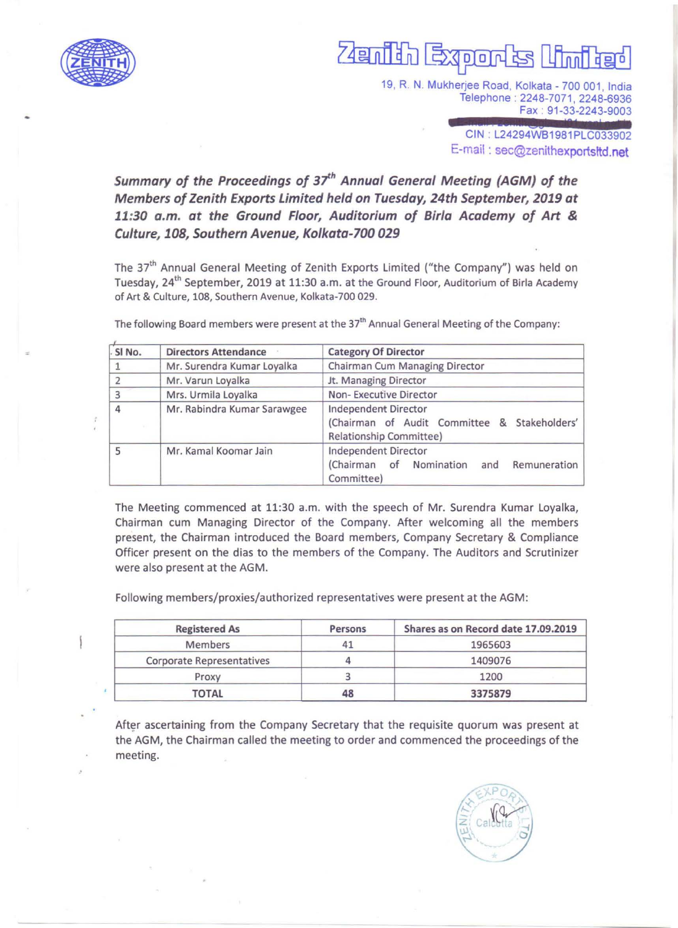

# 700

19, R. N. Mukherjee Road, Kolkata - 700 001, India Telephone : 2248-7071,2248-6936 Fax : 91-33-2243-9003

> CIN : L24294WB1981PLC033902 E-mail : sec@Zenithexportsltd.net

Summary of the Proceedings of 37<sup>th</sup> Annual General Meeting (AGM) of the *Members of Zenith Exports Limited held on Tuesday, 24th September, 2019 at 11:30 a.m. at the Ground Floor, Auditorium of Birla Academy of Art* & *Culture, 108, Southern Avenue, Kolkata-100 029* 

The 37'h Annual General Meeting of Zenith Exports Limited ("the Company") was held on Tuesday, 24<sup>th</sup> September, 2019 at 11:30 a.m. at the Ground Floor, Auditorium of Birla Academy of Art & Culture, 108, Southern Avenue, Kolkata-700 029.

| SI No. | <b>Directors Attendance</b> | <b>Category Of Director</b>                                                                     |  |
|--------|-----------------------------|-------------------------------------------------------------------------------------------------|--|
|        | Mr. Surendra Kumar Loyalka  | Chairman Cum Managing Director                                                                  |  |
|        | Mr. Varun Loyalka           | Jt. Managing Director                                                                           |  |
| 3      | Mrs. Urmila Loyalka         | Non-Executive Director                                                                          |  |
| 4      | Mr. Rabindra Kumar Sarawgee | Independent Director<br>(Chairman of Audit Committee & Stakeholders'<br>Relationship Committee) |  |
| 5      | Mr. Kamal Koomar Jain       | Independent Director<br>(Chairman of<br>Nomination<br>Remuneration<br>and<br>Committee)         |  |

The following Board members were present at the 37<sup>th</sup> Annual General Meeting of the Company:

The Meeting commenced at 11:30 a.m. with the speech of Mr. Surendra Kumar Loyalka, Chairman cum Managing Director of the Company. After welcoming all the members present, the Chairman introduced the Board members, Company Secretary & Compliance Officer present on the dias to the members of the Company. The Auditors and Scrutinizer were also present at the AGM.

Following members/proxies/authorized representatives were present at the AGM:

| <b>Registered As</b>             | Persons | Shares as on Record date 17.09.2019 |
|----------------------------------|---------|-------------------------------------|
| Members                          |         | 1965603                             |
| <b>Corporate Representatives</b> |         | 1409076                             |
| Proxy                            |         | 1200                                |
| <b>TOTAL</b>                     | 48      | 3375879                             |

After ascertaining from the Company Secretary that the requisite quorum was present at the AGM, the Chairman called the meeting to order and commenced the proceedings of the meeting.

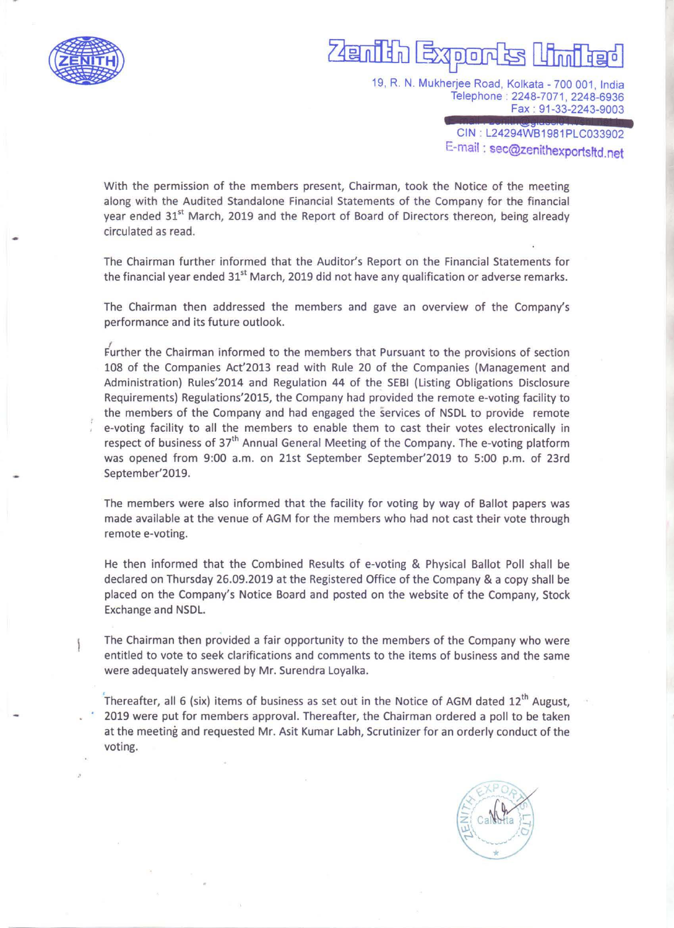

19, R. N. Mukherjee Road, Kolkata - 700 001, India Telephone : 2248-7071, 2248-6936 Fax : 91-33-2243-9003

> CIN: L24294WB1981PLC033902 E-mail: sec@Zenithexportsttd.net

With the permission of the members present, Chairman, took the Notice of the meeting along with the Audited Standalone Financial Statements of the Company for the financial year ended 31<sup>st</sup> March, 2019 and the Report of Board of Directors thereon, being already circulated as read.

The Chairman further informed that the Auditor's Report on the Financial Statements for the financial year ended 31<sup>st</sup> March, 2019 did not have any qualification or adverse remarks.

The Chairman then addressed the members and gave an overview of the Company's performance and its future outlook.

 $\frac{1}{2}$ further the Chairman informed to the members that Pursuant to the provisions of section 108 of the Companies Act'2013 read with Rule 20 of the Companies (Management and Administration) Rules'2014 and Regulation 44 of the SEBI (Listing Obligations Disclosure Requirements) Regulations'201S, the Company had provided the remote e-voting facility to the members of the Company and had engaged the services of NSDL to provide remote e-voting facility to all the members to enable them to cast their votes electronically in respect of business of 37<sup>th</sup> Annual General Meeting of the Company. The e-voting platform was opened from 9:00 a.m. on 21st September September'2019 to S:OO p.m. of 23rd September'2019.

The members were also informed that the facility for voting by way of Ballot papers was made available at the venue of AGM for the members who had not cast their vote through remote e-voting.

He then informed that the Combined Results of e-voting & Physical Ballot Poll shall be declared on Thursday 26.09.2019 at the Registered Office of the Company & a copy shall be placed on the Company's Notice Board and posted on the website of the Company, Stock Exchange and NSDL.

The Chairman then provided a fair opportunity to the members of the Company who were entitled to vote to seek clarifications and comments to the items of business and the same were adequately answered by Mr. Surendra Loyalka.

Thereafter, all 6 (six) items of business as set out in the Notice of AGM dated  $12<sup>th</sup>$  August, 2019 were put for members approval. Thereafter, the Chairman ordered a poll to be taken at the meeting and requested Mr. Asit Kumar Labh, Scrutinizer for an orderly conduct of the voting.